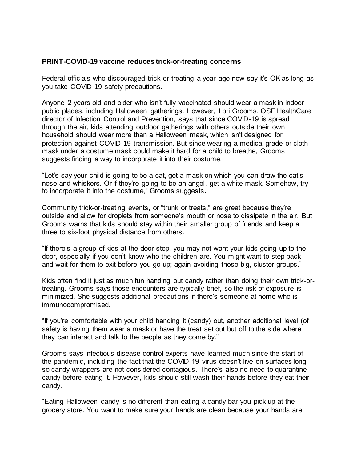## **PRINT-COVID-19 vaccine reduces trick-or-treating concerns**

Federal officials who discouraged trick-or-treating a year ago now say it's OK as long as you take COVID-19 safety precautions.

Anyone 2 years old and older who isn't fully vaccinated should wear a mask in indoor public places, including Halloween gatherings. However, Lori Grooms, OSF HealthCare director of Infection Control and Prevention, says that since COVID-19 is spread through the air, kids attending outdoor gatherings with others outside their own household should wear more than a Halloween mask, which isn't designed for protection against COVID-19 transmission. But since wearing a medical grade or cloth mask under a costume mask could make it hard for a child to breathe, Grooms suggests finding a way to incorporate it into their costume.

"Let's say your child is going to be a cat, get a mask on which you can draw the cat's nose and whiskers. Or if they're going to be an angel, get a white mask. Somehow, try to incorporate it into the costume," Grooms suggests**.**

Community trick-or-treating events, or "trunk or treats," are great because they're outside and allow for droplets from someone's mouth or nose to dissipate in the air. But Grooms warns that kids should stay within their smaller group of friends and keep a three to six-foot physical distance from others.

"If there's a group of kids at the door step, you may not want your kids going up to the door, especially if you don't know who the children are. You might want to step back and wait for them to exit before you go up; again avoiding those big, cluster groups."

Kids often find it just as much fun handing out candy rather than doing their own trick-ortreating. Grooms says those encounters are typically brief, so the risk of exposure is minimized. She suggests additional precautions if there's someone at home who is immunocompromised.

"If you're comfortable with your child handing it (candy) out, another additional level (of safety is having them wear a mask or have the treat set out but off to the side where they can interact and talk to the people as they come by."

Grooms says infectious disease control experts have learned much since the start of the pandemic, including the fact that the COVID-19 virus doesn't live on surfaces long, so candy wrappers are not considered contagious. There's also no need to quarantine candy before eating it. However, kids should still wash their hands before they eat their candy.

"Eating Halloween candy is no different than eating a candy bar you pick up at the grocery store. You want to make sure your hands are clean because your hands are